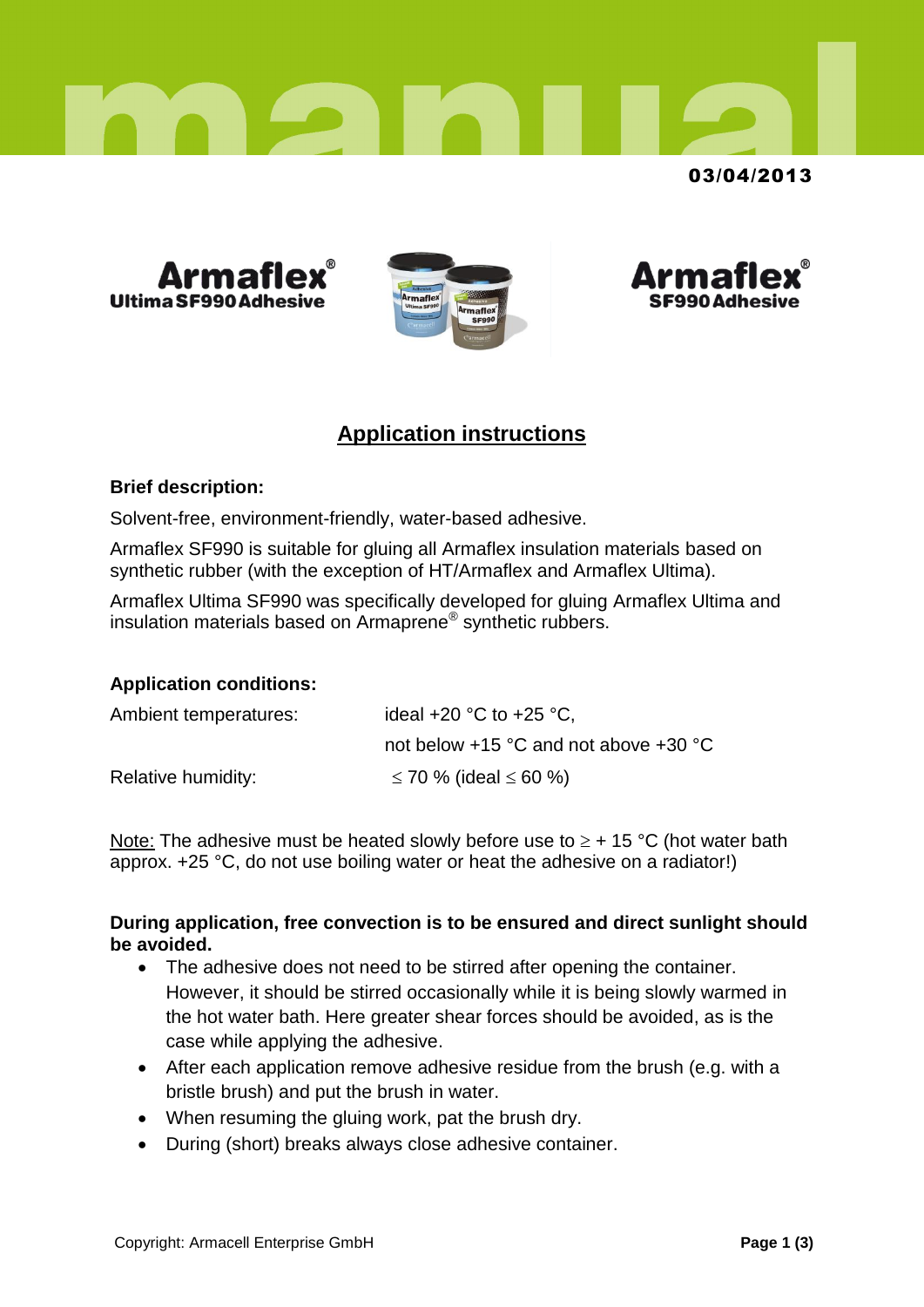

# 03/04/2013







# **Application instructions**

## **Brief description:**

Solvent-free, environment-friendly, water-based adhesive.

Armaflex SF990 is suitable for gluing all Armaflex insulation materials based on synthetic rubber (with the exception of HT/Armaflex and Armaflex Ultima).

Armaflex Ultima SF990 was specifically developed for gluing Armaflex Ultima and insulation materials based on Armaprene® synthetic rubbers.

## **Application conditions:**

| Ambient temperatures: | ideal $+20$ °C to $+25$ °C,           |
|-----------------------|---------------------------------------|
|                       | not below +15 °C and not above +30 °C |
| Relative humidity:    | ≤ 70 % (ideal ≤ 60 %)                 |

Note: The adhesive must be heated slowly before use to  $\geq$  + 15 °C (hot water bath approx. +25 °C, do not use boiling water or heat the adhesive on a radiator!)

#### **During application, free convection is to be ensured and direct sunlight should be avoided.**

- The adhesive does not need to be stirred after opening the container. However, it should be stirred occasionally while it is being slowly warmed in the hot water bath. Here greater shear forces should be avoided, as is the case while applying the adhesive.
- After each application remove adhesive residue from the brush (e.g. with a bristle brush) and put the brush in water.
- When resuming the gluing work, pat the brush dry.
- During (short) breaks always close adhesive container.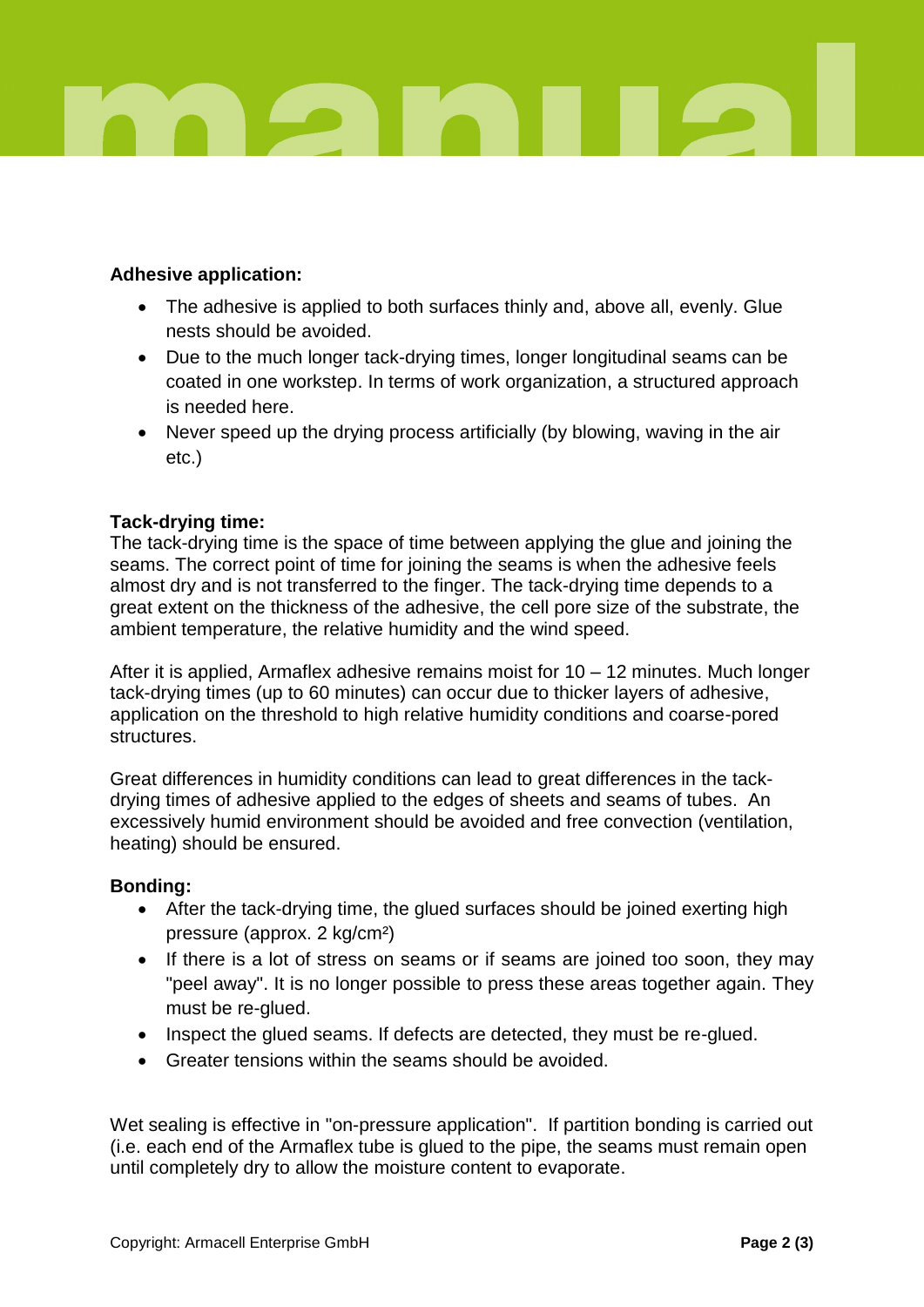

# **Adhesive application:**

- The adhesive is applied to both surfaces thinly and, above all, evenly. Glue nests should be avoided.
- Due to the much longer tack-drying times, longer longitudinal seams can be coated in one workstep. In terms of work organization, a structured approach is needed here.
- Never speed up the drying process artificially (by blowing, waving in the air etc.)

## **Tack-drying time:**

The tack-drying time is the space of time between applying the glue and joining the seams. The correct point of time for joining the seams is when the adhesive feels almost dry and is not transferred to the finger. The tack-drying time depends to a great extent on the thickness of the adhesive, the cell pore size of the substrate, the ambient temperature, the relative humidity and the wind speed.

After it is applied, Armaflex adhesive remains moist for 10 – 12 minutes. Much longer tack-drying times (up to 60 minutes) can occur due to thicker layers of adhesive, application on the threshold to high relative humidity conditions and coarse-pored structures.

Great differences in humidity conditions can lead to great differences in the tackdrying times of adhesive applied to the edges of sheets and seams of tubes. An excessively humid environment should be avoided and free convection (ventilation, heating) should be ensured.

## **Bonding:**

- After the tack-drying time, the glued surfaces should be joined exerting high pressure (approx. 2 kg/cm²)
- If there is a lot of stress on seams or if seams are joined too soon, they may "peel away". It is no longer possible to press these areas together again. They must be re-glued.
- Inspect the glued seams. If defects are detected, they must be re-glued.
- Greater tensions within the seams should be avoided.

Wet sealing is effective in "on-pressure application". If partition bonding is carried out (i.e. each end of the Armaflex tube is glued to the pipe, the seams must remain open until completely dry to allow the moisture content to evaporate.